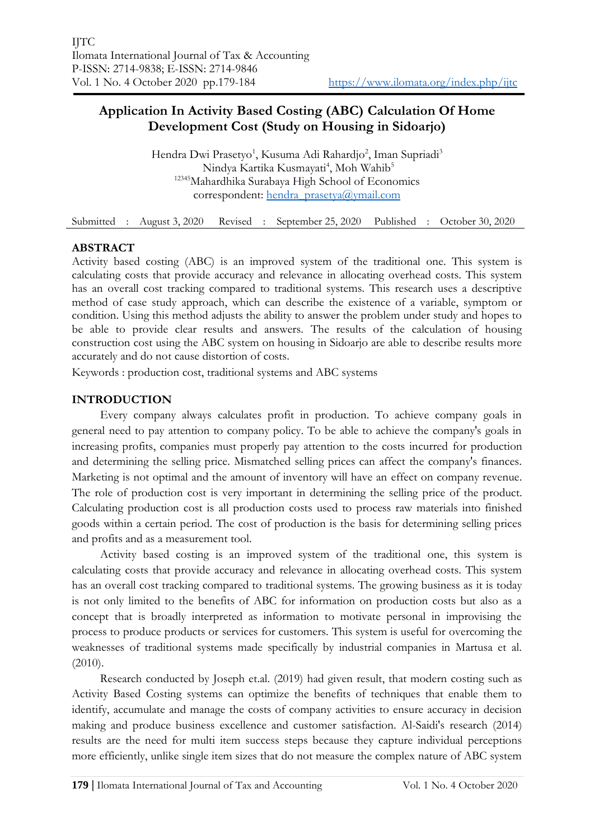# **Application In Activity Based Costing (ABC) Calculation Of Home Development Cost (Study on Housing in Sidoarjo)**

Hendra Dwi Prasetyo<sup>1</sup>, Kusuma Adi Rahardjo<sup>2</sup>, Iman Supriadi<sup>3</sup> Nindya Kartika Kusmayati<sup>4</sup>, Moh Wahib<sup>5</sup> <sup>12345</sup>Mahardhika Surabaya High School of Economics correspondent: [hendra\\_prasetya@ymail.com](mailto:hendra_prasetya@ymail.com)

Submitted : August 3, 2020 Revised : September 25, 2020 Published : October 30, 2020

# **ABSTRACT**

Activity based costing (ABC) is an improved system of the traditional one. This system is calculating costs that provide accuracy and relevance in allocating overhead costs. This system has an overall cost tracking compared to traditional systems. This research uses a descriptive method of case study approach, which can describe the existence of a variable, symptom or condition. Using this method adjusts the ability to answer the problem under study and hopes to be able to provide clear results and answers. The results of the calculation of housing construction cost using the ABC system on housing in Sidoarjo are able to describe results more accurately and do not cause distortion of costs.

Keywords : production cost, traditional systems and ABC systems

# **INTRODUCTION**

Every company always calculates profit in production. To achieve company goals in general need to pay attention to company policy. To be able to achieve the company's goals in increasing profits, companies must properly pay attention to the costs incurred for production and determining the selling price. Mismatched selling prices can affect the company's finances. Marketing is not optimal and the amount of inventory will have an effect on company revenue. The role of production cost is very important in determining the selling price of the product. Calculating production cost is all production costs used to process raw materials into finished goods within a certain period. The cost of production is the basis for determining selling prices and profits and as a measurement tool.

Activity based costing is an improved system of the traditional one, this system is calculating costs that provide accuracy and relevance in allocating overhead costs. This system has an overall cost tracking compared to traditional systems. The growing business as it is today is not only limited to the benefits of ABC for information on production costs but also as a concept that is broadly interpreted as information to motivate personal in improvising the process to produce products or services for customers. This system is useful for overcoming the weaknesses of traditional systems made specifically by industrial companies in Martusa et al. (2010).

Research conducted by Joseph et.al. (2019) had given result, that modern costing such as Activity Based Costing systems can optimize the benefits of techniques that enable them to identify, accumulate and manage the costs of company activities to ensure accuracy in decision making and produce business excellence and customer satisfaction. Al-Saidi's research (2014) results are the need for multi item success steps because they capture individual perceptions more efficiently, unlike single item sizes that do not measure the complex nature of ABC system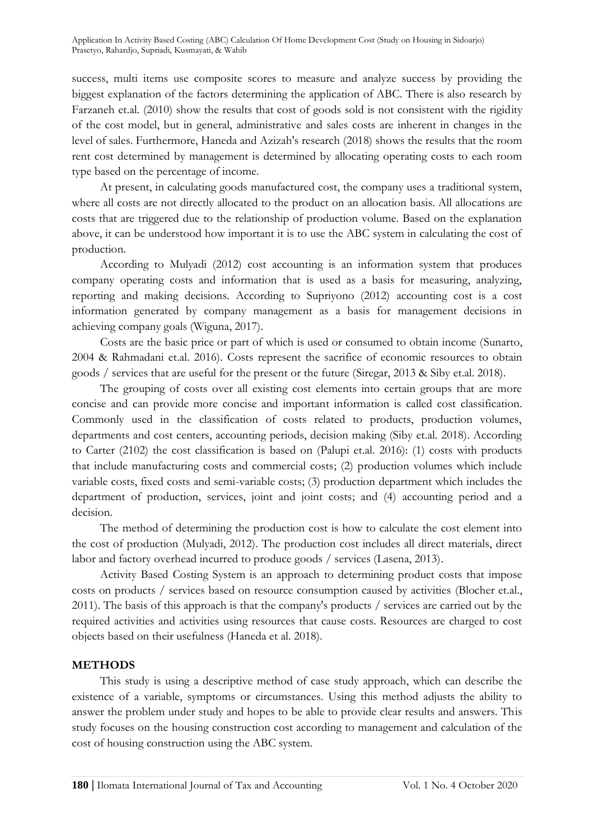success, multi items use composite scores to measure and analyze success by providing the biggest explanation of the factors determining the application of ABC. There is also research by Farzaneh et.al. (2010) show the results that cost of goods sold is not consistent with the rigidity of the cost model, but in general, administrative and sales costs are inherent in changes in the level of sales. Furthermore, Haneda and Azizah's research (2018) shows the results that the room rent cost determined by management is determined by allocating operating costs to each room type based on the percentage of income.

At present, in calculating goods manufactured cost, the company uses a traditional system, where all costs are not directly allocated to the product on an allocation basis. All allocations are costs that are triggered due to the relationship of production volume. Based on the explanation above, it can be understood how important it is to use the ABC system in calculating the cost of production.

According to Mulyadi (2012) cost accounting is an information system that produces company operating costs and information that is used as a basis for measuring, analyzing, reporting and making decisions. According to Supriyono (2012) accounting cost is a cost information generated by company management as a basis for management decisions in achieving company goals (Wiguna, 2017).

Costs are the basic price or part of which is used or consumed to obtain income (Sunarto, 2004 & Rahmadani et.al. 2016). Costs represent the sacrifice of economic resources to obtain goods / services that are useful for the present or the future (Siregar, 2013 & Siby et.al. 2018).

The grouping of costs over all existing cost elements into certain groups that are more concise and can provide more concise and important information is called cost classification. Commonly used in the classification of costs related to products, production volumes, departments and cost centers, accounting periods, decision making (Siby et.al. 2018). According to Carter (2102) the cost classification is based on (Palupi et.al. 2016): (1) costs with products that include manufacturing costs and commercial costs; (2) production volumes which include variable costs, fixed costs and semi-variable costs; (3) production department which includes the department of production, services, joint and joint costs; and (4) accounting period and a decision.

The method of determining the production cost is how to calculate the cost element into the cost of production (Mulyadi, 2012). The production cost includes all direct materials, direct labor and factory overhead incurred to produce goods / services (Lasena, 2013).

Activity Based Costing System is an approach to determining product costs that impose costs on products / services based on resource consumption caused by activities (Blocher et.al., 2011). The basis of this approach is that the company's products / services are carried out by the required activities and activities using resources that cause costs. Resources are charged to cost objects based on their usefulness (Haneda et al. 2018).

## **METHODS**

This study is using a descriptive method of case study approach, which can describe the existence of a variable, symptoms or circumstances. Using this method adjusts the ability to answer the problem under study and hopes to be able to provide clear results and answers. This study focuses on the housing construction cost according to management and calculation of the cost of housing construction using the ABC system.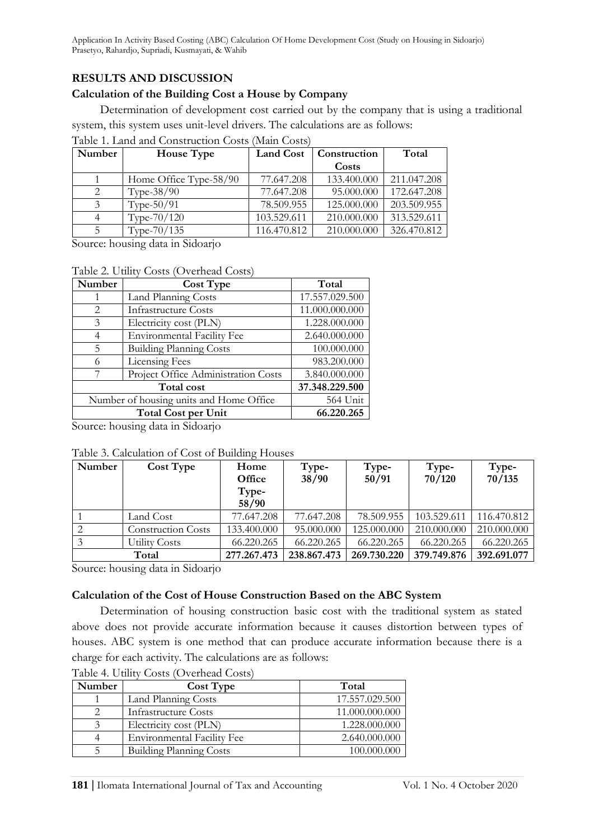# **RESULTS AND DISCUSSION**

## **Calculation of the Building Cost a House by Company**

Determination of development cost carried out by the company that is using a traditional system, this system uses unit-level drivers. The calculations are as follows:

| Number                        | <b>House Type</b>      | <b>Land Cost</b> | Construction | Total       |
|-------------------------------|------------------------|------------------|--------------|-------------|
|                               |                        |                  | Costs        |             |
|                               | Home Office Type-58/90 | 77.647.208       | 133.400.000  | 211.047.208 |
| $\mathfrak{D}_{\mathfrak{p}}$ | Type- $38/90$          | 77.647.208       | 95.000.000   | 172.647.208 |
|                               | Type- $50/91$          | 78.509.955       | 125.000.000  | 203.509.955 |
|                               | Type-70/120            | 103.529.611      | 210.000.000  | 313.529.611 |
|                               | Type-70/135            | 116.470.812      | 210.000.000  | 326.470.812 |

Source: housing data in Sidoarjo

#### Table 2. Utility Costs (Overhead Costs)

| Number                                  | <b>Cost Type</b>                    | Total          |  |
|-----------------------------------------|-------------------------------------|----------------|--|
|                                         | Land Planning Costs                 | 17.557.029.500 |  |
| 2                                       | <b>Infrastructure Costs</b>         | 11.000.000.000 |  |
| 3                                       | Electricity cost (PLN)              | 1.228.000.000  |  |
| 4                                       | <b>Environmental Facility Fee</b>   | 2.640.000.000  |  |
| 5                                       | <b>Building Planning Costs</b>      | 100.000.000    |  |
| 6                                       | Licensing Fees                      | 983.200.000    |  |
| 7                                       | Project Office Administration Costs | 3.840.000.000  |  |
|                                         | 37.348.229.500                      |                |  |
| Number of housing units and Home Office | 564 Unit                            |                |  |
|                                         | <b>Total Cost per Unit</b>          |                |  |

Source: housing data in Sidoarjo

## Table 3. Calculation of Cost of Building Houses

| Number | Cost Type                 | Home        | Type-       | Type-       | Type-       | Type-       |
|--------|---------------------------|-------------|-------------|-------------|-------------|-------------|
|        |                           | Office      | 38/90       | 50/91       | 70/120      | 70/135      |
|        |                           | Type-       |             |             |             |             |
|        |                           | 58/90       |             |             |             |             |
|        | Land Cost                 | 77.647.208  | 77.647.208  | 78.509.955  | 103.529.611 | 116.470.812 |
|        | <b>Construction Costs</b> | 133.400.000 | 95.000.000  | 125.000.000 | 210.000.000 | 210.000.000 |
|        | <b>Utility Costs</b>      | 66.220.265  | 66.220.265  | 66.220.265  | 66.220.265  | 66.220.265  |
| Total  |                           | 277.267.473 | 238.867.473 | 269.730.220 | 379.749.876 | 392.691.077 |

Source: housing data in Sidoarjo

#### **Calculation of the Cost of House Construction Based on the ABC System**

Determination of housing construction basic cost with the traditional system as stated above does not provide accurate information because it causes distortion between types of houses. ABC system is one method that can produce accurate information because there is a charge for each activity. The calculations are as follows:

| Number | <b>Cost Type</b>                  | Total          |
|--------|-----------------------------------|----------------|
|        | Land Planning Costs               | 17.557.029.500 |
|        | <b>Infrastructure Costs</b>       | 11.000.000.000 |
|        | Electricity cost (PLN)            | 1.228.000.000  |
|        | <b>Environmental Facility Fee</b> | 2.640.000.000  |
|        | <b>Building Planning Costs</b>    | 100.000.000    |

Table 4. Utility Costs (Overhead Costs)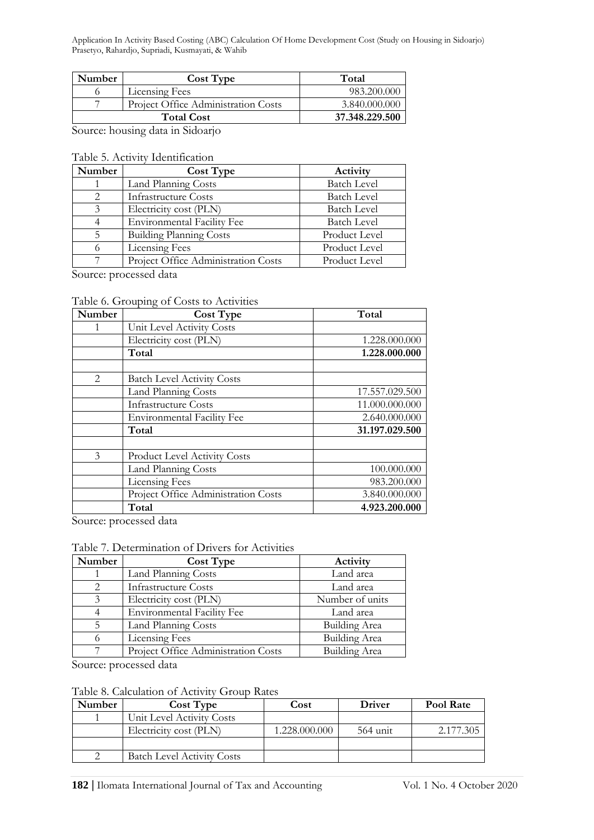| <b>Number</b>                       | Cost Type                                  | Total         |  |
|-------------------------------------|--------------------------------------------|---------------|--|
|                                     | <b>Licensing Fees</b>                      | 983.200.000   |  |
|                                     | <b>Project Office Administration Costs</b> | 3.840.000.000 |  |
| <b>Total Cost</b><br>37.348.229.500 |                                            |               |  |

Source: housing data in Sidoarjo

#### Table 5. Activity Identification

| Number | <b>Cost Type</b>                    | Activity           |
|--------|-------------------------------------|--------------------|
|        | Land Planning Costs                 | <b>Batch Level</b> |
|        | <b>Infrastructure Costs</b>         | <b>Batch Level</b> |
| 3      | Electricity cost (PLN)              | <b>Batch Level</b> |
|        | <b>Environmental Facility Fee</b>   | <b>Batch Level</b> |
|        | <b>Building Planning Costs</b>      | Product Level      |
|        | <b>Licensing Fees</b>               | Product Level      |
|        | Project Office Administration Costs | Product Level      |

Source: processed data

### Table 6. Grouping of Costs to Activities

| Number                        | <b>Cost Type</b>                    | Total          |
|-------------------------------|-------------------------------------|----------------|
|                               | Unit Level Activity Costs           |                |
|                               | Electricity cost (PLN)              | 1.228.000.000  |
|                               | Total                               | 1.228.000.000  |
|                               |                                     |                |
| $\mathfrak{D}_{\mathfrak{p}}$ | <b>Batch Level Activity Costs</b>   |                |
|                               | Land Planning Costs                 | 17.557.029.500 |
|                               | <b>Infrastructure Costs</b>         | 11.000.000.000 |
|                               | <b>Environmental Facility Fee</b>   | 2.640.000.000  |
|                               | Total                               | 31.197.029.500 |
| $\mathcal{E}$                 | <b>Product Level Activity Costs</b> |                |
|                               | Land Planning Costs                 | 100.000.000    |
|                               | Licensing Fees                      | 983.200.000    |
|                               | Project Office Administration Costs | 3.840.000.000  |
|                               | Total                               | 4.923.200.000  |

Source: processed data

#### Table 7. Determination of Drivers for Activities

| Number        | <b>Cost Type</b>                    | Activity             |
|---------------|-------------------------------------|----------------------|
|               | Land Planning Costs                 | Land area            |
| 2             | <b>Infrastructure Costs</b>         | Land area            |
| $\mathcal{E}$ | Electricity cost (PLN)              | Number of units      |
|               | <b>Environmental Facility Fee</b>   | Land area            |
|               | Land Planning Costs                 | <b>Building Area</b> |
|               | <b>Licensing Fees</b>               | <b>Building Area</b> |
|               | Project Office Administration Costs | <b>Building Area</b> |

Source: processed data

#### Table 8. Calculation of Activity Group Rates

| Number | Cost Type                         | Cost          | <b>Driver</b> | Pool Rate |
|--------|-----------------------------------|---------------|---------------|-----------|
|        | Unit Level Activity Costs         |               |               |           |
|        | Electricity cost (PLN)            | 1.228.000.000 | $564$ unit    | 2.177.305 |
|        |                                   |               |               |           |
|        | <b>Batch Level Activity Costs</b> |               |               |           |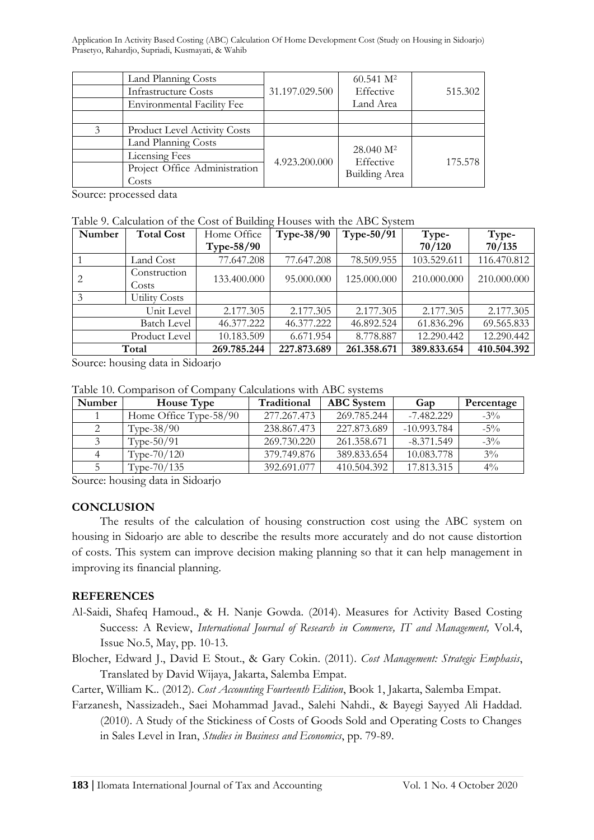|   | Land Planning Costs                 |                | $60.541 \text{ M}^2$       |         |
|---|-------------------------------------|----------------|----------------------------|---------|
|   | <b>Infrastructure Costs</b>         | 31.197.029.500 | Effective                  | 515.302 |
|   | <b>Environmental Facility Fee</b>   |                | Land Area                  |         |
|   |                                     |                |                            |         |
| 3 | <b>Product Level Activity Costs</b> |                |                            |         |
|   | Land Planning Costs                 |                | 28.040 M <sup>2</sup>      |         |
|   | <b>Licensing Fees</b>               | 4.923.200.000  | Effective<br>Building Area | 175.578 |
|   | Project Office Administration       |                |                            |         |
|   | Costs                               |                |                            |         |

Source: processed data

Table 9. Calculation of the Cost of Building Houses with the ABC System

| Number             | <b>Total Cost</b>     | Home Office | <b>Type-38/90</b> | Type-50/91  | Type-       | Type-       |
|--------------------|-----------------------|-------------|-------------------|-------------|-------------|-------------|
|                    |                       | Type-58/90  |                   |             | 70/120      | 70/135      |
|                    | Land Cost             | 77.647.208  | 77.647.208        | 78.509.955  | 103.529.611 | 116.470.812 |
|                    | Construction<br>Costs | 133.400.000 | 95.000.000        | 125.000.000 | 210.000.000 | 210.000.000 |
| 3                  | Utility Costs         |             |                   |             |             |             |
| Unit Level         |                       | 2.177.305   | 2.177.305         | 2.177.305   | 2.177.305   | 2.177.305   |
| <b>Batch Level</b> |                       | 46.377.222  | 46.377.222        | 46.892.524  | 61.836.296  | 69.565.833  |
| Product Level      |                       | 10.183.509  | 6.671.954         | 8.778.887   | 12.290.442  | 12.290.442  |
| Total              |                       | 269.785.244 | 227.873.689       | 261.358.671 | 389.833.654 | 410.504.392 |

Source: housing data in Sidoarjo

Table 10. Comparison of Company Calculations with ABC systems

| Number | <b>House Type</b>      | Traditional | <b>ABC</b> System | Gap           | Percentage |
|--------|------------------------|-------------|-------------------|---------------|------------|
|        | Home Office Type-58/90 | 277.267.473 | 269.785.244       | $-7.482.229$  | $-3\%$     |
|        | Type- $38/90$          | 238.867.473 | 227.873.689       | $-10.993.784$ | $-5\%$     |
|        | Type- $50/91$          | 269.730.220 | 261.358.671       | $-8.371.549$  | $-3\%$     |
|        | Type- $70/120$         | 379.749.876 | 389.833.654       | 10.083.778    | $3\%$      |
|        | Type- $70/135$         | 392.691.077 | 410.504.392       | 17.813.315    | $4\%$      |

Source: housing data in Sidoarjo

## **CONCLUSION**

The results of the calculation of housing construction cost using the ABC system on housing in Sidoarjo are able to describe the results more accurately and do not cause distortion of costs. This system can improve decision making planning so that it can help management in improving its financial planning.

# **REFERENCES**

- Al-Saidi, Shafeq Hamoud., & H. Nanje Gowda. (2014). Measures for Activity Based Costing Success: A Review, *International Journal of Research in Commerce, IT and Management,* Vol.4, Issue No.5, May, pp. 10-13.
- Blocher, Edward J., David E Stout., & Gary Cokin. (2011). *Cost Management: Strategic Emphasis*, Translated by David Wijaya, Jakarta, Salemba Empat.

Carter, William K.. (2012). *Cost Accounting Fourteenth Edition*, Book 1, Jakarta, Salemba Empat.

Farzanesh, Nassizadeh., Saei Mohammad Javad., Salehi Nahdi., & Bayegi Sayyed Ali Haddad. (2010). A Study of the Stickiness of Costs of Goods Sold and Operating Costs to Changes in Sales Level in Iran, *Studies in Business and Economics*, pp. 79-89.